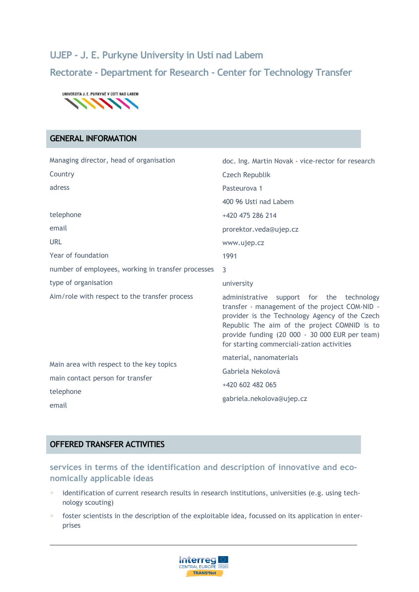# **UJEP - J. E. Purkyne University in Usti nad Labem Rectorate - Department for Research - Center for Technology Transfer**



## **GENERAL INFORMATION**

| Managing director, head of organisation            | doc. Ing. Martin Novak - vice-rector for research                                                                                                                                                                                                                                             |
|----------------------------------------------------|-----------------------------------------------------------------------------------------------------------------------------------------------------------------------------------------------------------------------------------------------------------------------------------------------|
| Country                                            | Czech Republik                                                                                                                                                                                                                                                                                |
| adress                                             | Pasteurova 1                                                                                                                                                                                                                                                                                  |
|                                                    | 400 96 Usti nad Labem                                                                                                                                                                                                                                                                         |
| telephone                                          | +420 475 286 214                                                                                                                                                                                                                                                                              |
| email                                              | prorektor.veda@ujep.cz                                                                                                                                                                                                                                                                        |
| <b>URL</b>                                         | www.ujep.cz                                                                                                                                                                                                                                                                                   |
| Year of foundation                                 | 1991                                                                                                                                                                                                                                                                                          |
| number of employees, working in transfer processes | 3                                                                                                                                                                                                                                                                                             |
| type of organisation                               | university                                                                                                                                                                                                                                                                                    |
| Aim/role with respect to the transfer process      | administrative support for the technology<br>transfer - management of the project COM-NID -<br>provider is the Technology Agency of the Czech<br>Republic The aim of the project COMNID is to<br>provide funding (20 000 - 30 000 EUR per team)<br>for starting commerciali-zation activities |
| Main area with respect to the key topics           | material, nanomaterials                                                                                                                                                                                                                                                                       |
| main contact person for transfer                   | Gabriela Nekolová                                                                                                                                                                                                                                                                             |
| telephone                                          | +420 602 482 065                                                                                                                                                                                                                                                                              |
| email                                              | gabriela.nekolova@ujep.cz                                                                                                                                                                                                                                                                     |
|                                                    |                                                                                                                                                                                                                                                                                               |

## **OFFERED TRANSFER ACTIVITIES**

**services in terms of the identification and description of innovative and economically applicable ideas** 

- identification of current research results in research institutions, universities (e.g. using technology scouting)
- foster scientists in the description of the exploitable idea, focussed on its application in enterprises

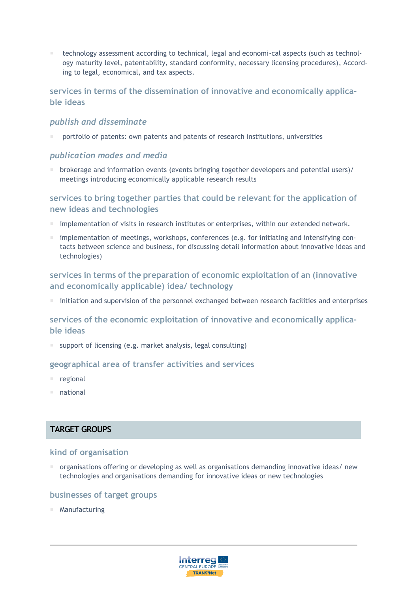technology assessment according to technical, legal and economi-cal aspects (such as technology maturity level, patentability, standard conformity, necessary licensing procedures), According to legal, economical, and tax aspects.

### **services in terms of the dissemination of innovative and economically applicable ideas**

#### *publish and disseminate*

portfolio of patents: own patents and patents of research institutions, universities

#### *publication modes and media*

 brokerage and information events (events bringing together developers and potential users)/ meetings introducing economically applicable research results

## **services to bring together parties that could be relevant for the application of new ideas and technologies**

- **implementation of visits in research institutes or enterprises, within our extended network.**
- $\blacksquare$  implementation of meetings, workshops, conferences (e.g. for initiating and intensifying contacts between science and business, for discussing detail information about innovative ideas and technologies)

## **services in terms of the preparation of economic exploitation of an (innovative and economically applicable) idea/ technology**

 $\blacksquare$  initiation and supervision of the personnel exchanged between research facilities and enterprises

#### **services of the economic exploitation of innovative and economically applicable ideas**

■ support of licensing (e.g. market analysis, legal consulting)

#### **geographical area of transfer activities and services**

- regional
- national

## **TARGET GROUPS**

#### **kind of organisation**

 $\blacksquare$  organisations offering or developing as well as organisations demanding innovative ideas/ new technologies and organisations demanding for innovative ideas or new technologies

#### **businesses of target groups**

Manufacturing